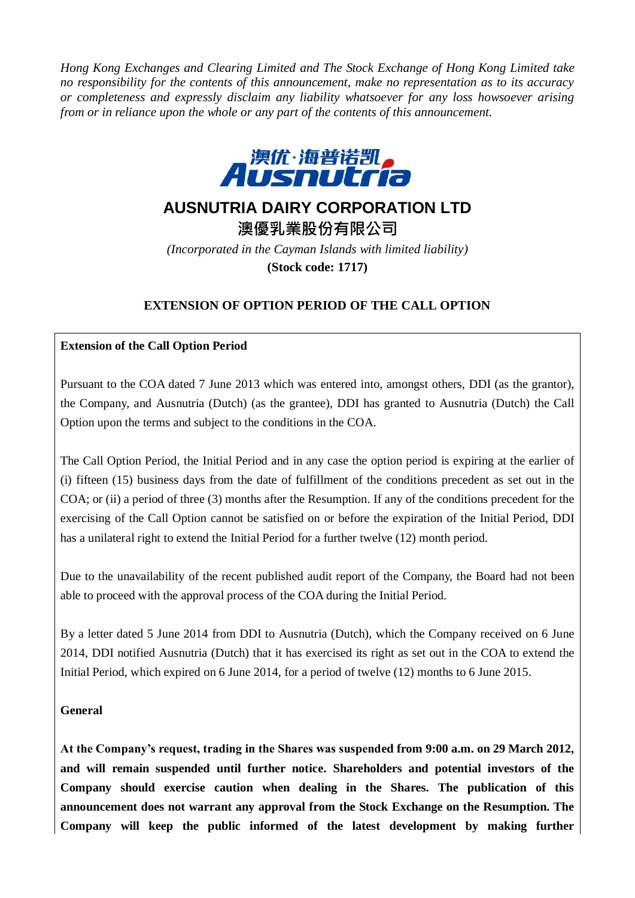*Hong Kong Exchanges and Clearing Limited and The Stock Exchange of Hong Kong Limited take no responsibility for the contents of this announcement, make no representation as to its accuracy or completeness and expressly disclaim any liability whatsoever for any loss howsoever arising from or in reliance upon the whole or any part of the contents of this announcement.*



# **AUSNUTRIA DAIRY CORPORATION LTD**

**澳優乳業股份有限公司** *(Incorporated in the Cayman Islands with limited liability)* **(Stock code: 1717)**

## **EXTENSION OF OPTION PERIOD OF THE CALL OPTION**

### **Extension of the Call Option Period**

Pursuant to the COA dated 7 June 2013 which was entered into, amongst others, DDI (as the grantor), the Company, and Ausnutria (Dutch) (as the grantee), DDI has granted to Ausnutria (Dutch) the Call Option upon the terms and subject to the conditions in the COA.

The Call Option Period, the Initial Period and in any case the option period is expiring at the earlier of (i) fifteen (15) business days from the date of fulfillment of the conditions precedent as set out in the COA; or (ii) a period of three (3) months after the Resumption. If any of the conditions precedent for the exercising of the Call Option cannot be satisfied on or before the expiration of the Initial Period, DDI has a unilateral right to extend the Initial Period for a further twelve (12) month period.

Due to the unavailability of the recent published audit report of the Company, the Board had not been able to proceed with the approval process of the COA during the Initial Period.

By a letter dated 5 June 2014 from DDI to Ausnutria (Dutch), which the Company received on 6 June 2014, DDI notified Ausnutria (Dutch) that it has exercised its right as set out in the COA to extend the Initial Period, which expired on 6 June 2014, for a period of twelve (12) months to 6 June 2015.

#### **General**

**At the Company's request, trading in the Shares was suspended from 9:00 a.m. on 29 March 2012, and will remain suspended until further notice. Shareholders and potential investors of the Company should exercise caution when dealing in the Shares. The publication of this announcement does not warrant any approval from the Stock Exchange on the Resumption. The Company will keep the public informed of the latest development by making further**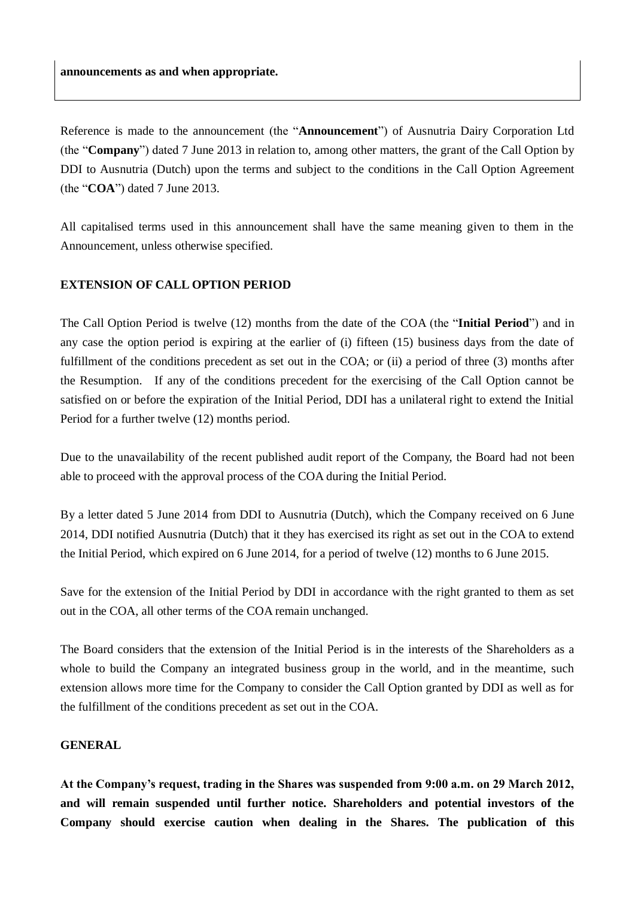Reference is made to the announcement (the "**Announcement**") of Ausnutria Dairy Corporation Ltd (the "**Company**") dated 7 June 2013 in relation to, among other matters, the grant of the Call Option by DDI to Ausnutria (Dutch) upon the terms and subject to the conditions in the Call Option Agreement (the "**COA**") dated 7 June 2013.

All capitalised terms used in this announcement shall have the same meaning given to them in the Announcement, unless otherwise specified.

#### **EXTENSION OF CALL OPTION PERIOD**

The Call Option Period is twelve (12) months from the date of the COA (the "**Initial Period**") and in any case the option period is expiring at the earlier of (i) fifteen (15) business days from the date of fulfillment of the conditions precedent as set out in the COA; or (ii) a period of three (3) months after the Resumption. If any of the conditions precedent for the exercising of the Call Option cannot be satisfied on or before the expiration of the Initial Period, DDI has a unilateral right to extend the Initial Period for a further twelve (12) months period.

Due to the unavailability of the recent published audit report of the Company, the Board had not been able to proceed with the approval process of the COA during the Initial Period.

By a letter dated 5 June 2014 from DDI to Ausnutria (Dutch), which the Company received on 6 June 2014, DDI notified Ausnutria (Dutch) that it they has exercised its right as set out in the COA to extend the Initial Period, which expired on 6 June 2014, for a period of twelve (12) months to 6 June 2015.

Save for the extension of the Initial Period by DDI in accordance with the right granted to them as set out in the COA, all other terms of the COA remain unchanged.

The Board considers that the extension of the Initial Period is in the interests of the Shareholders as a whole to build the Company an integrated business group in the world, and in the meantime, such extension allows more time for the Company to consider the Call Option granted by DDI as well as for the fulfillment of the conditions precedent as set out in the COA.

#### **GENERAL**

**At the Company's request, trading in the Shares was suspended from 9:00 a.m. on 29 March 2012, and will remain suspended until further notice. Shareholders and potential investors of the Company should exercise caution when dealing in the Shares. The publication of this**